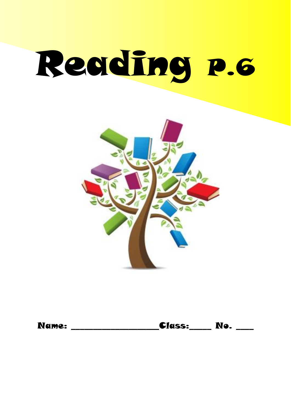# Reading p.6



| <b>Name:</b> | <b>Class:</b> | Ne |  |
|--------------|---------------|----|--|
|--------------|---------------|----|--|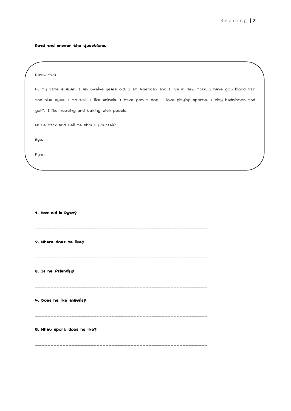Read and answer the questions.

| Dear, Mark                                                                                              |
|---------------------------------------------------------------------------------------------------------|
| Hi, my name is Ryan. I am twelve years old. I am American and I live in New York. I have got blond hair |
| and blue eyes. I am tall. I like animals. I have got a dog. I love playing sports. I play badminton and |
| golf. I like meeting and talking with people.                                                           |
| Write back and tell me about yourself.                                                                  |
| Bye,                                                                                                    |
| Ryan                                                                                                    |
|                                                                                                         |
|                                                                                                         |
|                                                                                                         |
|                                                                                                         |
| 1. How old is Ryan?                                                                                     |
|                                                                                                         |
| 2. Where does he live?                                                                                  |
|                                                                                                         |
| 3. Is he friendly?                                                                                      |
|                                                                                                         |
|                                                                                                         |
| 4. Does he like animals?                                                                                |
|                                                                                                         |
| 5. What sport does he like?                                                                             |
|                                                                                                         |
|                                                                                                         |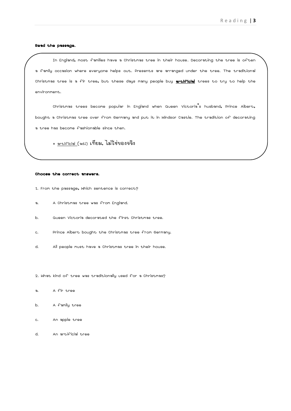## Read the passage.

In England, most families have a Christmas tree in their house. Decorating the tree is often a family occasion where everyone helps out. Presents are arranged under the tree. The traditional Christmas tree is a fir tree, but these days many people buy **artificial** trees to try to help the environment.

Christmas trees become popular in England when Queen Victoria's husband, Prince Albert, bought a Christmas tree over from Germany and put it in Windsor Castle. The tradition of decorating a tree has become fashionable since then.

\* artificial (adj) เทียม, ไม่ใช่ของจริง

### Choose the correct answers.

 $\overline{\phantom{0}}$ 

- 1. From the passage, Which sentence is correct?
- a. A Christmas tree was from England.
- b. Queen Victoria decorated the first Christmas tree.
- c. Prince Albert bought the Christmas tree from Germany.
- d. All people must have a Christmas tree in their house.

2. What kind of tree was traditionally used for a Christmas?

- a. A fir tree
- b. A family tree
- c. An apple tree
- d. An artificial tree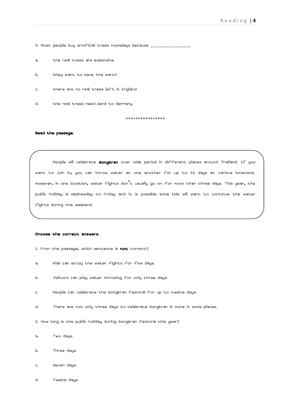- 3. Most people buy artificial trees nowadays because \_\_\_\_\_\_\_\_\_\_\_\_\_\_\_.
- a. the real trees are expensive
- b. they want to save the earth
- c. there are no real trees left in England
- d. the real trees need send to Germany

\*\*\*\*\*\*\*\*\*\*\*\*\*\*\*\*

#### Read the passage.

People will celebrate **Songkran** over wide period in different places around Thailand. If you want to join it, you can throw water at one another for up to 12 days at various locations. However, in one location, water fights don't usually go on for more than three days. This year, the public holiday is Wednesday to Friday and it is possible some kids will want to continue the water fights during the weekend.

#### Choose the correct answers.

- 1. From the passage, which sentence is not correct?
- a. Kids can enjoy the water fights for five days.
- b. Visitors can play water throwing for only three days.
- c. People can celebrate the Songkran festival for up to twelve days.
- d. There are not only three days to celebrate Songkran in some in some places.
- 2. How long is the public holiday during Songkran festival this year?
- a. Two days.
- b. Three days.
- c. Seven days.
- d. Twelve days.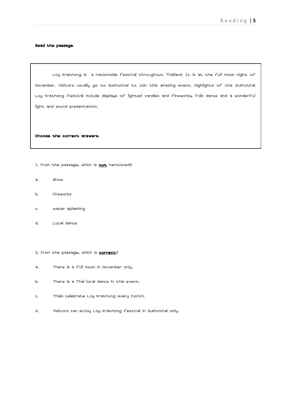## Read the passage.

Loy Krathong is a nationwide festival throughout Thailand. It is at the full moon night of November. Visitors usually go to Sukhothai to join this amazing event. Highlights of the Sukhothai Loy Krathong festival include displays of lighted candles and fireworks, folk dance and a wonderful light and sound presentation.

Choose the correct answers.

- 1. From the passage, which is not mentioned?
- a. Show

 $\overline{a}$ 

- b. Fireworks
- c. water splashing
- d. Local dance
- 2. From the passage, which is **correct**?
- a. There is a full moon in November only.
- b. There is a Thai local dance in this event.
- c. Thais celebrate Loy Krathong every month.
- d. Visitors can enjoy Loy Krathong festival in Sukhothai only.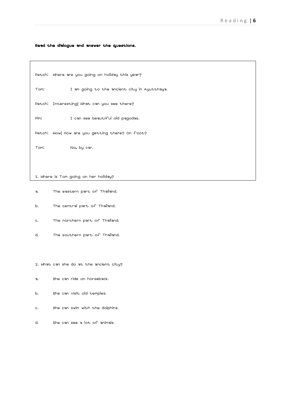Read the dialogue and answer the questions.

Petch: Where are you going on holiday this year?

Tom: I am going to the ancient city in Ayutthaya.

Petch: Interesting! What can you see there?

Pim: I can see beautiful old pagodas.

Petch: Wow! How are you getting there? On foot?

Tom: No, by car.

 $\overline{a}$ 

1. Where is Tom going on her holiday?

- a. The eastern part of Thailand.
- b. The central part of Thailand.
- c. The northern part of Thailand.
- d. The southern part of Thailand.
- 2. What can she do at the ancient city?
- a. She can ride on horseback.
- b. She can visit old temples.
- c. She can swim with the dolphins.
- d. She can see a lot of animals.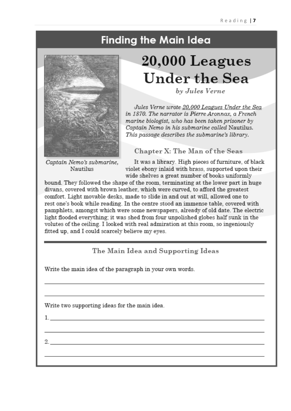# **Finding the Main Idea**



# $20,000$  Leagues **Under the Sea**

by Jules Verne

Jules Verne wrote 20,000 Leagues Under the Sea in 1870. The narrator is Pierre Aronnax, a French marine biologist, who has been taken prisoner by Captain Nemo in his submarine called Nautilus. This passage describes the submarine's library.

# Chapter X: The Man of the Seas

Captain Nemo's submarine, **Nautilus** 

It was a library. High pieces of furniture, of black violet ebony inlaid with brass, supported upon their wide shelves a great number of books uniformly

bound. They followed the shape of the room, terminating at the lower part in huge divans, covered with brown leather, which were curved, to afford the greatest comfort. Light movable desks, made to slide in and out at will, allowed one to rest one's book while reading. In the centre stood an immense table, covered with pamphlets, amongst which were some newspapers, already of old date. The electric light flooded everything; it was shed from four unpolished globes half sunk in the volutes of the ceiling. I looked with real admiration at this room, so ingeniously fitted up, and I could scarcely believe my eyes.

# The Main Idea and Supporting Ideas

Write the main idea of the paragraph in your own words.

Write two supporting ideas for the main idea.

 $1.$ 

2.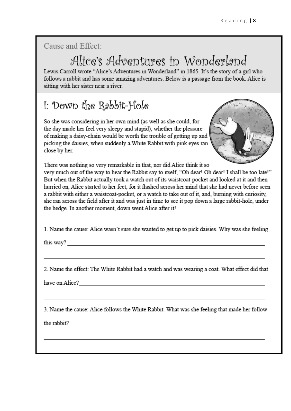Cause and Effect:

# Alice's Adventures in Wonderland

Lewis Carroll wrote "Alice's Adventures in Wonderland" in 1865. It's the story of a girl who follows a rabbit and has some amazing adventures. Below is a passage from the book. Alice is sitting with her sister near a river.

# I: Down the Rebbit-Hole

So she was considering in her own mind (as well as she could, for the day made her feel very sleepy and stupid), whether the pleasure of making a daisy-chain would be worth the trouble of getting up and picking the daisies, when suddenly a White Rabbit with pink eyes ran close by her.



There was nothing so very remarkable in that, nor did Alice think it so

very much out of the way to hear the Rabbit say to itself, "Oh dear! Oh dear! I shall be too late!" But when the Rabbit actually took a watch out of its waistcoat-pocket and looked at it and then hurried on. Alice started to her feet, for it flashed across her mind that she had never before seen a rabbit with either a waistcoat-pocket, or a watch to take out of it, and, burning with curiosity, she ran across the field after it and was just in time to see it pop down a large rabbit-hole, under the hedge. In another moment, down went Alice after it!

1. Name the cause: Alice wasn't sure she wanted to get up to pick daisies. Why was she feeling

this way?

2. Name the effect: The White Rabbit had a watch and was wearing a coat. What effect did that

have on Alice?

3. Name the cause: Alice follows the White Rabbit. What was she feeling that made her follow

the rabbit?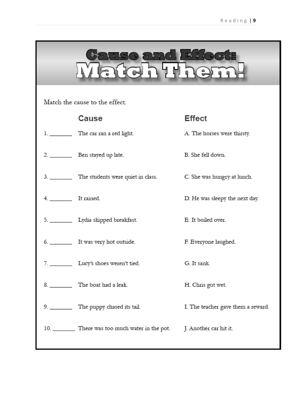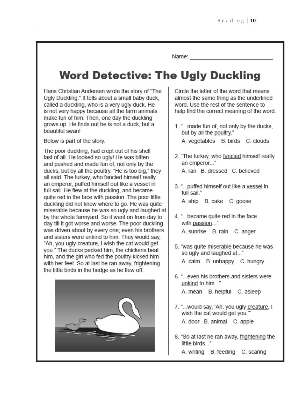Name: Name

# **Word Detective: The Ugly Duckling**

Hans Christian Andersen wrote the story of "The Ugly Duckling." It tells about a small baby duck. called a duckling, who is a very ugly duck. He is not very happy because all the farm animals make fun of him. Then, one day the duckling grows up. He finds out he is not a duck, but a beaufiful swanl

Below is part of the story.

The poor duckling, had crept out of his shell last of all. He looked so ugly! He was bitten and pushed and made fun of, not only by the ducks, but by all the poultry. "He is too big," they all said. The turkey, who fancied himself really an emperor, puffed himself out like a vessel in full sail. He flew at the duckling, and became quite red in the face with passion. The poor little duckling did not know where to go. He was quite miserable because he was so ugly and laughed at by the whole farmyard. So it went on from day to day till it got worse and worse. The poor duckling was driven about by every one; even his brothers and sisters were unkind to him. They would say. "Ah, you ugly creature, I wish the cat would get you." The ducks pecked him, the chickens beat him, and the girl who fed the poultry kicked him with her feet. So at last he ran away, frightening the little birds in the hedge as he flew off.



Circle the letter of the word that means almost the same thing as the underlined word. Use the rest of the sentence to help find the correct meaning of the word.

- 1. "... made fun of, not only by the ducks. but by all the poultry."
	- A. vegetables B. birds C. clouds
- 2. "The turkey, who fancied himself really an emperor..."

A. ran B. dressed C. believed

3. "... puffed himself out like a vessel in full sail."

A. ship B. cake C. goose

4. "... became quite red in the face with passion..."

A. sunrise B. rain C. anger

5. "was quite miserable because he was so ugly and laughed at..."

A. calm B. unhappy C. hungry

- 6. "... even his brothers and sisters were unkind to him..." A. mean B. helpful C. asleep
	-
- 7. "... would say, 'Ah, you ugly creature, I wish the cat would get you." A. door B. animal C. apple
- 8. "So at last he ran away, frightening the little birds..."
	- A. writing B. feeding C. scaring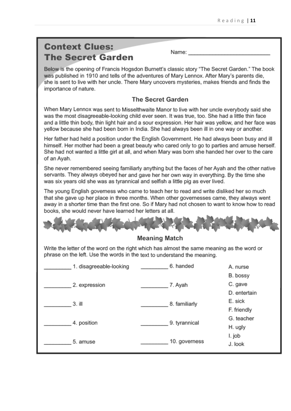# **Context Clues: The Secret Garden**

Name:

Below is the opening of Francis Hogsdon Burnett's classic story "The Secret Garden." The book was published in 1910 and tells of the adventures of Mary Lennox. After Mary's parents die, she is sent to live with her uncle. There Mary uncovers mysteries, makes friends and finds the importance of nature.

# The Secret Garden

When Mary Lennox was sent to Misselthwaite Manor to live with her uncle everybody said she was the most disagreeable-looking child ever seen. It was true, too. She had a little thin face and a little thin body, thin light hair and a sour expression. Her hair was yellow, and her face was yellow because she had been born in India. She had always been ill in one way or another.

Her father had held a position under the English Government. He had always been busy and ill himself. Her mother had been a great beauty who cared only to go to parties and amuse herself. She had not wanted a little girl at all, and when Mary was born she handed her over to the care of an Avah.

She never remembered seeing familiarly anything but the faces of her Ayah and the other native servants. They always obeyed her and gave her her own way in everything. By the time she was six years old she was as tyrannical and selfish a little pig as ever lived.

The young English governess who came to teach her to read and write disliked her so much that she gave up her place in three months. When other governesses came, they always went away in a shorter time than the first one. So if Mary had not chosen to want to know how to read books, she would never have learned her letters at all.

# **Meaning Match**

Write the letter of the word on the right which has almost the same meaning as the word or phrase on the left. Use the words in the text to understand the meaning.

| 1. disagreeable-looking | 6. handed     | A. nurse     |
|-------------------------|---------------|--------------|
|                         |               | B. bossy     |
| 2. expression           | 7. Ayah       | C. gave      |
|                         |               | D. entertain |
| 3. ill                  | 8. familiarly | E. sick      |
|                         |               | F. friendly  |
| 4. position             | 9. tyrannical | G. teacher   |
|                         |               | H. ugly      |
|                         |               | I. job       |
| 5. amuse                | 10. governess | J. look      |
|                         |               |              |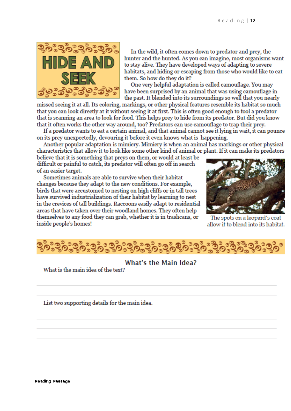

In the wild, it often comes down to predator and prev, the hunter and the hunted. As you can imagine, most organisms want to stay alive. They have developed ways of adapting to severe habitats, and hiding or escaping from those who would like to eat them. So how do they do it?

One very helpful adaptation is called camouflage. You may have been surprised by an animal that was using camouflage in the past. It blended into its surroundings so well that you nearly

missed seeing it at all. Its coloring, markings, or other physical features resemble its habitat so much that you can look directly at it without seeing it at first. This is often good enough to fool a predator that is scanning an area to look for food. This helps prey to hide from its predator. But did you know that it often works the other way around, too? Predators can use camouflage to trap their prey.

If a predator wants to eat a certain animal, and that animal cannot see it lying in wait, it can pounce on its prev unexpectedly, devouring it before it even knows what is happening.

Another popular adaptation is mimicry. Mimicry is when an animal has markings or other physical characteristics that allow it to look like some other kind of animal or plant. If it can make its predators

believe that it is something that prevs on them, or would at least be difficult or painful to catch, its predator will often go off in search of an easier target.

Sometimes animals are able to survive when their habitat changes because they adapt to the new conditions. For example, birds that were accustomed to nesting on high cliffs or in tall trees have survived industrialization of their habitat by learning to nest in the crevices of tall buildings. Raccoons easily adapt to residential areas that have taken over their woodland homes. They often help themselves to any food they can grab, whether it is in trashcans, or inside people's homes!



The spots on a leopard's coat allow it to blend into its habitat.



# What's the Main Idea?

What is the main idea of the text?

List two supporting details for the main idea.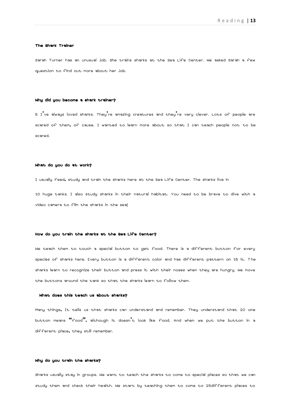#### The Shark Trainer

Sarah Turner has an unusual job. She trains sharks at the Sea Life Center. We asked Sarah a few question to find out more about her job.

#### Why did you become a shark trainer?

5 I've always loved sharks. They're amazing creatures and they're very clever. Lots of people are scared of them, of cause. I wanted to learn more about so that I can teach people not to be scared.

### What do you do at work?

I usually feed, study and train the sharks here at the Sea Life Center. The sharks live in

10 huge tanks. I also study sharks in their natural habitat. You need to be brave to dive with a video camera to film the sharks in the sea!

#### How do you train the sharks at the Sea Life Center?

We teach them to touch a special button to get food. There is a different button for every species of sharks here. Every button is a different color and has different pattern on 15 it. The sharks learn to recognize their button and press it with their noses when they are hungry. We move the buttons around the tank so that the sharks learn to follow them.

#### What does this teach us about sharks?

Many things, It tells us that sharks can understand and remember. They understand that 20 one button means "food", although it doesn't look like food. And when we put the button in a different place, they still remember.

## Why do you train the sharks?

Sharks usually stay in groups. We want to teach the sharks to come to special places so that we can study them and check their health. We start by teaching them to come to 25different places to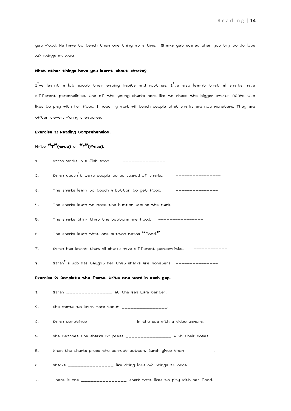get food. We have to teach them one thing at a time. Sharks get scared when you try to do lots of things at once.

## What other things have you learnt about sharks?

 $I'$ ve learnt a lot about their eating habits and routines.  $I'$ ve also learnt that all sharks have different personalities. One of the young sharks here like to chase the bigger sharks. 30She also likes to play with her food. I hope my work will teach people that sharks are not monsters. They are often clever, funny creatures.

## Exercise 1: Reading Comprehension.

# Write "T"(true) or "F"(false).

| 1. | Sarah works in a fish shop.<br>________________                                                                                                                                                                                                                                               |
|----|-----------------------------------------------------------------------------------------------------------------------------------------------------------------------------------------------------------------------------------------------------------------------------------------------|
| 2. | Sarah doesn't want people to be scared of sharks. _________________                                                                                                                                                                                                                           |
| з. | The sharks learn to touch a button to get food.<br>_______________                                                                                                                                                                                                                            |
| 4. | The sharks learn to move the button around the tank.--------------                                                                                                                                                                                                                            |
| 5. | The sharks think that the buttons are food. ---------------                                                                                                                                                                                                                                   |
| 6. | The sharks learn that one button means "food." ---------------                                                                                                                                                                                                                                |
| 7. | Sarah has learnt that all sharks have different personalities.     -----------                                                                                                                                                                                                                |
| 8. | Sarah's job has taught her that sharks are monsters. ---------------                                                                                                                                                                                                                          |
|    |                                                                                                                                                                                                                                                                                               |
|    | Exercise 2: Complete the facts. Write one word in each gap.                                                                                                                                                                                                                                   |
| 1. | Sarah _______________ at the Sea Life Center.                                                                                                                                                                                                                                                 |
| 2. | She wants to learn more about $\frac{1}{2}$ = $\frac{1}{2}$ = $\frac{1}{2}$ = $\frac{1}{2}$ = $\frac{1}{2}$ = $\frac{1}{2}$ = $\frac{1}{2}$ = $\frac{1}{2}$ = $\frac{1}{2}$ = $\frac{1}{2}$ = $\frac{1}{2}$ = $\frac{1}{2}$ = $\frac{1}{2}$ = $\frac{1}{2}$ = $\frac{1}{2}$ = $\frac{1}{2}$ = |
| з. | Sarah sometimes ______________ in the sea with a video camera.                                                                                                                                                                                                                                |
| 4. | She teaches the sharks to press ________________ with their noses.                                                                                                                                                                                                                            |
| 5. | When the sharks press the correct button, Sarah gives them _________.                                                                                                                                                                                                                         |
| 6. | Sharks _______________ like doing lots of things at once.                                                                                                                                                                                                                                     |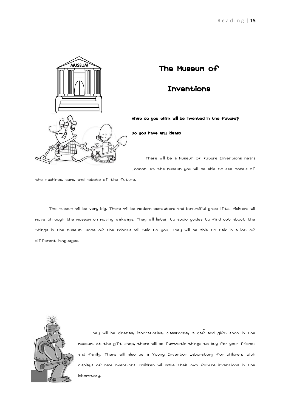

# The Museum of

# Inventions

What do you think will be invented in the future?

Do you have any ideas?

There will be a Museum of Future Inventions nears London. At the museum you will be able to see models of

the machines, cars, and robots of the future.

The museum will be very big. There will be modern escalators and beautiful glass lifts. Visitors will move through the museum on moving walkways. They will listen to audio guides to find out about the things in the museum. Some of the robots will talk to you. They will be able to talk in a lot of different languages.



They will be cinemas, laboratories, classrooms, a caf and gift shop in the museum. At the gift shop, there will be fantastic things to buy for your friends and family. There will also be a Young Inventor Laboratory for children, with displays of new inventions. Children will make their own future inventions in the laboratory.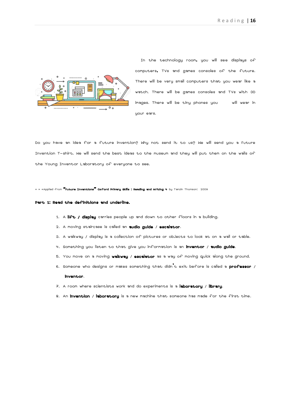

In the technology room, you will see displays of computers, TVs and games consoles of the future. There will be very small computers that you wear like a watch. There will be games consoles and TVs with 3D images. There will be tiny phones you will wear in your ears.

Do you have an idea for a future invention? Why not send it to us? We will send you a Future Invention T-shirt. We will send the best ideas to the museum and they will put them on the walls of the Young Inventor Laboratory of everyone to see.

\* \* \*Applied from "Future Inventions" Oxford Primary Skills : Reading and Writing 4 by Tamzin Thomson: 2009

#### Part 1: Read the definitions and underline.

- 1. A lift / display carries people up and down to other floors in a building.
- 2. A moving staircase is called an **audio guide** / **escalator**.
- 3. A walkway / display is a collection of pictures or objects to look at on a wall or table.
- 4. Something you listen to that give you information is an inventor / audio guide.
- 5. You move on a moving **walkway / escalator** as a way of moving quick along the ground.
- 6. Someone who designs or makes something that didn<sup>'</sup>t exit before is called a **professor** / inventor.
- 7. A room where scientists work and do experiments is a laboratory / library.
- 8. An **invention / laboratory** is a new machine that someone has made for the first time.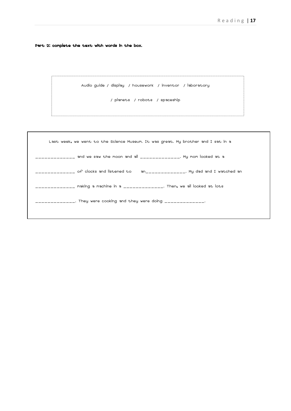Part 2: complete the text with words in the box.

```
Audio guide / display / housework / inventor / laboratory
```
/ planets / robots / spaceship

| Last week, we went to the Science Museum. It was great. My brother and I sat in a  |
|------------------------------------------------------------------------------------|
|                                                                                    |
| __________ of clocks and listened to      an_____________. My dad and I watched an |
| __________ making a machine in a ______________. Then, we all looked at lots       |
| ____________. They were cooking and they were doing _____________.                 |
|                                                                                    |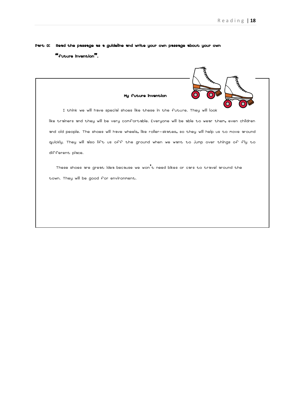Part 3: Read the passage as a guideline and write your own passage about your own "future invention".

| ogen og<br>My future invention                                                                      |
|-----------------------------------------------------------------------------------------------------|
| I think we will have special shoes like these in the future. They will look                         |
| like trainers and they will be very comfortable. Everyone will be able to wear them, even children  |
| and old people. The shoes will have wheels, like roller–skates, so they will help us to move around |
| quickly. They will also lift us off the ground when we want to jump over things of fly to           |
| different place.                                                                                    |
| These shoes are great idea because we won't need bikes or cars to travel around the                 |
| town. They will be good for environment.                                                            |
|                                                                                                     |
|                                                                                                     |
|                                                                                                     |
|                                                                                                     |